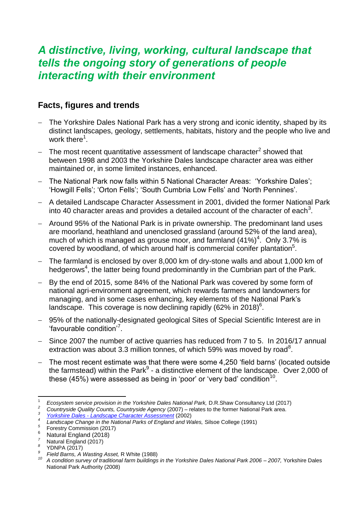## *A distinctive, living, working, cultural landscape that tells the ongoing story of generations of people interacting with their environment*

## **Facts, figures and trends**

- The Yorkshire Dales National Park has a very strong and iconic identity, shaped by its distinct landscapes, geology, settlements, habitats, history and the people who live and work there<sup>1</sup>.
- $-$  The most recent quantitative assessment of landscape character<sup>2</sup> showed that between 1998 and 2003 the Yorkshire Dales landscape character area was either maintained or, in some limited instances, enhanced.
- The National Park now falls within 5 National Character Areas: 'Yorkshire Dales'; 'Howgill Fells'; 'Orton Fells'; 'South Cumbria Low Fells' and 'North Pennines'.
- A detailed Landscape Character Assessment in 2001, divided the former National Park into 40 character areas and provides a detailed account of the character of each<sup>3</sup>.
- Around 95% of the National Park is in private ownership. The predominant land uses are moorland, heathland and unenclosed grassland (around 52% of the land area), much of which is managed as grouse moor, and farmland  $(41\%)^4$ . Only 3.7% is covered by woodland, of which around half is commercial conifer plantation $5$ .
- <span id="page-0-0"></span> The farmland is enclosed by over 8,000 km of dry-stone walls and about 1,000 km of hedgerows<sup>[4](#page-0-0)</sup>, the latter being found predominantly in the Cumbrian part of the Park.
- By the end of 2015, some 84% of the National Park was covered by some form of national agri-environment agreement, which rewards farmers and landowners for managing, and in some cases enhancing, key elements of the National Park's landscape. This coverage is now declining rapidly (62% in 2018)<sup>6</sup>.
- 95% of the nationally-designated geological Sites of Special Scientific Interest are in 'favourable condition'<sup>7</sup> .
- Since 2007 the number of active quarries has reduced from 7 to 5. In 2016/17 annual extraction was about 3.3 million tonnes, of which 59% was moved by road<sup>8</sup>.
- The most recent estimate was that there were some 4,250 'field barns' (located outside the farmstead) within the Park $9$  - a distinctive element of the landscape. Over 2,000 of these (45%) were assessed as being in 'poor' or 'very bad' condition<sup>10</sup>.

*3 Yorkshire Dales - [Landscape Character Assessment](http://www.yorkshiredales.org.uk/about-the-dales/landscape/landscapecharacterassessment)* (2002)

 $\overline{a}$ 1 *Ecosystem service provision in the Yorkshire Dales National Park,* D.R.Shaw Consultancy Ltd (2017)

*<sup>2</sup> Countryside Quality Counts, Countryside Agency* (2007) – relates to the former National Park area.

*<sup>4</sup> Landscape Change in the National Parks of England and Wales,* Silsoe College (1991)

*<sup>5</sup>* Forestry Commission (2017)

<sup>&</sup>lt;sup>6</sup> Natural England (2018)

*<sup>7</sup>* Natural England (2017)

*<sup>8</sup>* YDNPA (2017)

*<sup>9</sup> Field Barns, A Wasting Asset,* R White (1988)

*<sup>10</sup> A condition survey of traditional farm buildings in the Yorkshire Dales National Park 2006 – 2007,* Yorkshire Dales National Park Authority (2008)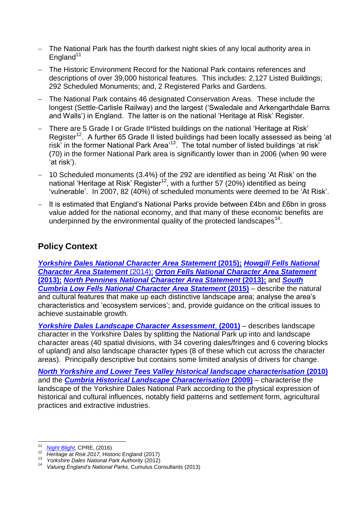- The National Park has the fourth darkest night skies of any local authority area in England $11$
- The Historic Environment Record for the National Park contains references and descriptions of over 39,000 historical features. This includes: 2,127 Listed Buildings; 292 Scheduled Monuments; and, 2 Registered Parks and Gardens.
- The National Park contains 46 designated Conservation Areas. These include the longest (Settle-Carlisle Railway) and the largest ('Swaledale and Arkengarthdale Barns and Walls') in England. The latter is on the national 'Heritage at Risk' Register.
- <span id="page-1-0"></span>- There are 5 Grade I or Grade II\*listed buildings on the national 'Heritage at Risk' Register<sup>12</sup>. A further 65 Grade II listed buildings had been locally assessed as being 'at risk' in the former National Park Area'<sup>13</sup>. The total number of listed buildings 'at risk' (70) in the former National Park area is significantly lower than in 2006 (when 90 were 'at risk').
- 10 Scheduled monuments (3.4%) of the 292 are identified as being 'At Risk' on the national 'Heritage at Risk' Register<sup>[12](#page-1-0)</sup>, with a further 57 (20%) identified as being 'vulnerable'. In 2007, 82 (40%) of scheduled monuments were deemed to be 'At Risk'.
- It is estimated that England's National Parks provide between £4bn and £6bn in gross value added for the national economy, and that many of these economic benefits are underpinned by the environmental quality of the protected landscapes<sup>14</sup>.

## **Policy Context**

*[Yorkshire Dales National Character Area Statement](http://publications.naturalengland.org.uk/publication/4674002?category=587130)* **(2015);** *[Howgill Fells National](http://publications.naturalengland.org.uk/publication/5090557693001728?category=587130)  [Character Area Statement](http://publications.naturalengland.org.uk/publication/5090557693001728?category=587130)* (2014); *[Orton Fells National Character Area Statement](http://publications.naturalengland.org.uk/publication/5512822184214528?category=587130)* **[\(2013\);](http://publications.naturalengland.org.uk/publication/5512822184214528?category=587130)** *[North Pennines National Character Area Statement](http://publications.naturalengland.org.uk/publication/5682293?category=587130)* **(2013);** and *[South](http://publications.naturalengland.org.uk/publication/4754470?category=587130)  [Cumbria Low Fells National Character Area Statement](http://publications.naturalengland.org.uk/publication/4754470?category=587130)* **(2015)** – describe the natural and cultural features that make up each distinctive landscape area; analyse the area's characteristics and 'ecosystem services'; and, provide guidance on the critical issues to achieve sustainable growth.

*[Yorkshire Dales Landscape Character Assessment](http://www.yorkshiredales.org.uk/about-the-dales/landscape/landscapecharacterassessment)*, **(2001)** – describes landscape character in the Yorkshire Dales by splitting the National Park up into and landscape character areas (40 spatial divisions, with 34 covering dales/fringes and 6 covering blocks of upland) and also landscape character types (8 of these which cut across the character areas). Principally descriptive but contains some limited analysis of drivers for change.

*[North Yorkshire and Lower Tees Valley historical landscape characterisation](https://www.northyorks.gov.uk/sites/default/files/fileroot/Environment%20and%20waste/Conservation/HLC/HLC_report_Part1_frontcover_to_p38.pdf)* **(2010)** and the *[Cumbria Historical Landscape Characterisation](https://www.cumbria.gov.uk/planning-environment/countryside/historic-environment/histlandcharacter.asp)* **(2009)** – characterise the landscape of the Yorkshire Dales National Park according to the physical expression of historical and cultural influences, notably field patterns and settlement form, agricultural practices and extractive industries.

 $11$ *[Night Blight,](http://nightblight.cpre.org.uk/images/resources/Night_Blight_cpre.pdf) CPRE, (2016)* 

<sup>12</sup> *Hight Bilght, CFRE, (2010)*<br>12 *Heritage at Risk 2017, Historic England (2017)*<br><sup>13</sup> *Vorkshire Dales National Bark Authority (2012)* 

<sup>13</sup> *Yorkshire Dales National Park Authority* (2012)

<sup>14</sup> *Valuing England's National Parks,* Cumulus Consultants (2013)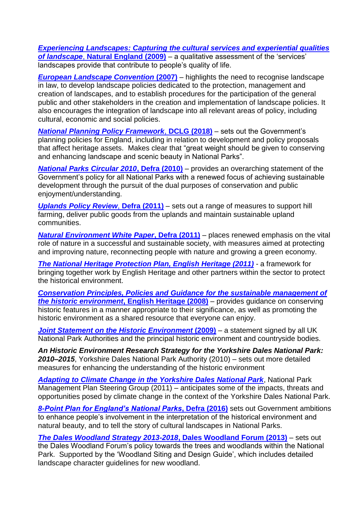*[Experiencing Landscapes: Capturing the cultural services and experiential qualities](http://publications.naturalengland.org.uk/publication/48001)  of landscape*, **[Natural England \(2009\)](http://publications.naturalengland.org.uk/publication/48001)** – a qualitative assessment of the 'services' landscapes provide that contribute to people's quality of life.

*[European Landscape Convention](https://assets.publishing.service.gov.uk/government/uploads/system/uploads/attachment_data/file/236096/8413.pdf)* **(2007)** – highlights the need to recognise landscape in law, to develop landscape policies dedicated to the protection, management and creation of landscapes, and to establish procedures for the participation of the general public and other stakeholders in the creation and implementation of landscape policies. It also encourages the integration of landscape into all relevant areas of policy, including cultural, economic and social policies.

*[National Planning Policy Framework](https://assets.publishing.service.gov.uk/government/uploads/system/uploads/attachment_data/file/740441/National_Planning_Policy_Framework_web_accessible_version.pdf)*, **DCLG (2018)** – sets out the Government's planning policies for England, including in relation to development and policy proposals that affect heritage assets. Makes clear that "great weight should be given to conserving and enhancing landscape and scenic beauty in National Parks".

*[National Parks Circular 2010](https://assets.publishing.service.gov.uk/government/uploads/system/uploads/attachment_data/file/221086/pb13387-vision-circular2010.pdf)***, Defra (2010)** – provides an overarching statement of the Government's policy for all National Parks with a renewed focus of achieving sustainable development through the pursuit of the dual purposes of conservation and public enjoyment/understanding.

*[Uplands Policy Review](https://assets.publishing.service.gov.uk/government/uploads/system/uploads/attachment_data/file/221096/pb13456-upland-policy-review2011.pdf)*, **Defra (2011)** – sets out a range of measures to support hill farming, deliver public goods from the uplands and maintain sustainable upland communities.

*[Natural Environment White Paper](https://www.parliament.uk/documents/commons-committees/environment-food-rural-affairs/NEWPConsolidatedWrittenEvidenceNov11.pdf)***, Defra (2011)** – places renewed emphasis on the vital role of nature in a successful and sustainable society, with measures aimed at protecting and improving nature, reconnecting people with nature and growing a green economy.

*[The National Heritage Protection Plan, English Heritage \(2011\)](https://historicengland.org.uk/images-books/publications/nhpp-overview-rep-aprsep13/nhpp-overview-aprsep13/) -* a framework for bringing together work by English Heritage and other partners within the sector to protect the historical environment.

*[Conservation Principles, Policies and Guidance for the sustainable management of](https://content.historicengland.org.uk/images-books/publications/conservation-principles-sustainable-management-historic-environment/conservationprinciplespoliciesguidanceapr08web.pdf/)  [the historic environment](https://content.historicengland.org.uk/images-books/publications/conservation-principles-sustainable-management-historic-environment/conservationprinciplespoliciesguidanceapr08web.pdf/)***, English Heritage (2008)** – provides guidance on conserving historic features in a manner appropriate to their significance, as well as promoting the historic environment as a shared resource that everyone can enjoy.

**Joint Statement [on the Historic Environment](http://www.nationalparksengland.org.uk/__data/assets/pdf_file/0012/767469/Historic-Environment-Joint-Statement.pdf) (2009)** – a statement signed by all UK National Park Authorities and the principal historic environment and countryside bodies.

*An Historic Environment Research Strategy for the Yorkshire Dales National Park: 2010–2015*, Yorkshire Dales National Park Authority (2010) *–* sets out more detailed measures for enhancing the understanding of the historic environment

*[Adapting to Climate Change in the Yorkshire Dales National Park](https://yorkshiredales.npuk-wp.uk/wp-content/uploads/sites/13/2019/08/Adapting-to-climate-change-in-the-YDNP-final-report.pdf)*, National Park Management Plan Steering Group (2011) – anticipates some of the impacts, threats and opportunities posed by climate change in the context of the Yorkshire Dales National Park.

*[8-Point Plan for England's National Parks](https://www.gov.uk/government/uploads/system/uploads/attachment_data/file/509916/national-parks-8-point-plan-for-england-2016-to-2020.pdf)***, Defra (2016)** sets out Government ambitions to enhance people's involvement in the interpretation of the historical environment and natural beauty, and to tell the story of cultural landscapes in National Parks.

*[The Dales Woodland Strategy 2013-2018](https://yorkshiredales.npuk-wp.uk/wp-content/uploads/sites/13/2019/08/DALES-WOODLAND-STRATEGY-2013-2018.pdf)***, Dales Woodland Forum (2013)** – sets out the Dales Woodland Forum's policy towards the trees and woodlands within the National Park. Supported by the 'Woodland Siting and Design Guide', which includes detailed landscape character guidelines for new woodland.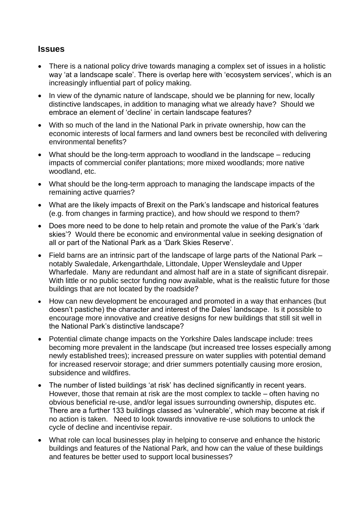## **Issues**

- There is a national policy drive towards managing a complex set of issues in a holistic way 'at a landscape scale'. There is overlap here with 'ecosystem services', which is an increasingly influential part of policy making.
- In view of the dynamic nature of landscape, should we be planning for new, locally distinctive landscapes, in addition to managing what we already have? Should we embrace an element of 'decline' in certain landscape features?
- With so much of the land in the National Park in private ownership, how can the economic interests of local farmers and land owners best be reconciled with delivering environmental benefits?
- What should be the long-term approach to woodland in the landscape reducing impacts of commercial conifer plantations; more mixed woodlands; more native woodland, etc.
- What should be the long-term approach to managing the landscape impacts of the remaining active quarries?
- What are the likely impacts of Brexit on the Park's landscape and historical features (e.g. from changes in farming practice), and how should we respond to them?
- Does more need to be done to help retain and promote the value of the Park's 'dark skies'? Would there be economic and environmental value in seeking designation of all or part of the National Park as a 'Dark Skies Reserve'.
- Field barns are an intrinsic part of the landscape of large parts of the National Park notably Swaledale, Arkengarthdale, Littondale, Upper Wensleydale and Upper Wharfedale. Many are redundant and almost half are in a state of significant disrepair. With little or no public sector funding now available, what is the realistic future for those buildings that are not located by the roadside?
- How can new development be encouraged and promoted in a way that enhances (but doesn't pastiche) the character and interest of the Dales' landscape. Is it possible to encourage more innovative and creative designs for new buildings that still sit well in the National Park's distinctive landscape?
- Potential climate change impacts on the Yorkshire Dales landscape include: trees becoming more prevalent in the landscape (but increased tree losses especially among newly established trees); increased pressure on water supplies with potential demand for increased reservoir storage; and drier summers potentially causing more erosion, subsidence and wildfires.
- The number of listed buildings 'at risk' has declined significantly in recent years. However, those that remain at risk are the most complex to tackle – often having no obvious beneficial re-use, and/or legal issues surrounding ownership, disputes etc. There are a further 133 buildings classed as 'vulnerable', which may become at risk if no action is taken. Need to look towards innovative re-use solutions to unlock the cycle of decline and incentivise repair.
- What role can local businesses play in helping to conserve and enhance the historic buildings and features of the National Park, and how can the value of these buildings and features be better used to support local businesses?